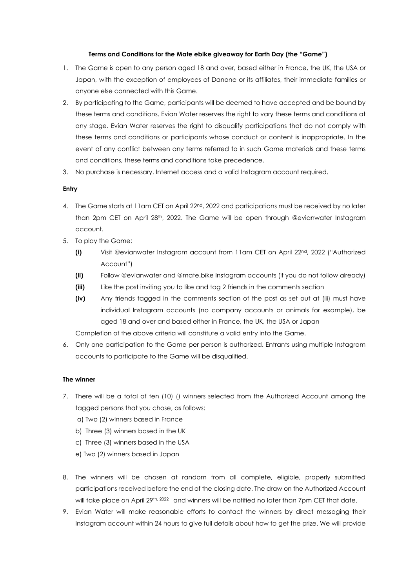# **Terms and Conditions for the Mate ebike giveaway for Earth Day (the "Game")**

- 1. The Game is open to any person aged 18 and over, based either in France, the UK, the USA or Japan, with the exception of employees of Danone or its affiliates, their immediate families or anyone else connected with this Game.
- 2. By participating to the Game, participants will be deemed to have accepted and be bound by these terms and conditions. Evian Water reserves the right to vary these terms and conditions at any stage. Evian Water reserves the right to disqualify participations that do not comply with these terms and conditions or participants whose conduct or content is inappropriate. In the event of any conflict between any terms referred to in such Game materials and these terms and conditions, these terms and conditions take precedence.
- 3. No purchase is necessary. Internet access and a valid Instagram account required.

# **Entry**

- 4. The Game starts at 11am CET on April 22<sup>nd</sup>, 2022 and participations must be received by no later than 2pm CET on April  $28<sup>th</sup>$ , 2022. The Game will be open through @evianwater Instagram account.
- 5. To play the Game:
	- **(i)** Visit @evianwater Instagram account from 11am CET on April 22<sup>nd</sup>, 2022 ("Authorized Account")
	- **(ii)** Follow @evianwater and @mate.bike Instagram accounts (if you do not follow already)
	- **(iii)** Like the post inviting you to like and tag 2 friends in the comments section
	- **(iv)** Any friends tagged in the comments section of the post as set out at (iii) must have individual Instagram accounts (no company accounts or animals for example), be aged 18 and over and based either in France, the UK, the USA or Japan

Completion of the above criteria will constitute a valid entry into the Game.

6. Only one participation to the Game per person is authorized. Entrants using multiple Instagram accounts to participate to the Game will be disqualified.

## **The winner**

- 7. There will be a total of ten (10) () winners selected from the Authorized Account among the tagged persons that you chose, as follows:
	- a) Two (2) winners based in France
	- b) Three (3) winners based in the UK
	- c) Three (3) winners based in the USA
	- e) Two (2) winners based in Japan
- 8. The winners will be chosen at random from all complete, eligible, properly submitted participations received before the end of the closing date. The draw on the Authorized Account will take place on April 29th, 2022 and winners will be notified no later than 7pm CET that date.
- 9. Evian Water will make reasonable efforts to contact the winners by direct messaging their Instagram account within 24 hours to give full details about how to get the prize. We will provide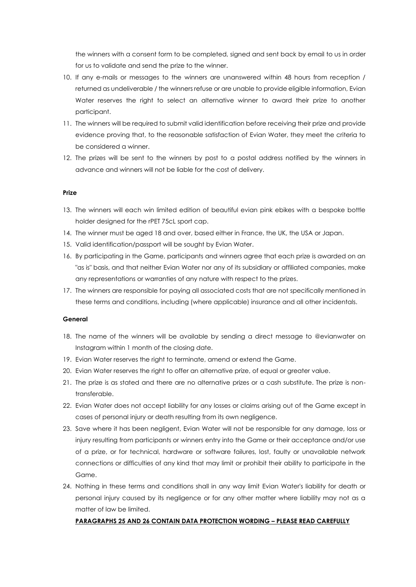the winners with a consent form to be completed, signed and sent back by email to us in order for us to validate and send the prize to the winner.

- 10. If any e-mails or messages to the winners are unanswered within 48 hours from reception / returned as undeliverable / the winners refuse or are unable to provide eligible information, Evian Water reserves the right to select an alternative winner to award their prize to another participant.
- 11. The winners will be required to submit valid identification before receiving their prize and provide evidence proving that, to the reasonable satisfaction of Evian Water, they meet the criteria to be considered a winner.
- 12. The prizes will be sent to the winners by post to a postal address notified by the winners in advance and winners will not be liable for the cost of delivery.

#### **Prize**

- 13. The winners will each win limited edition of beautiful evian pink ebikes with a bespoke bottle holder designed for the rPET 75cL sport cap.
- 14. The winner must be aged 18 and over, based either in France, the UK, the USA or Japan.
- 15. Valid identification/passport will be sought by Evian Water.
- 16. By participating in the Game, participants and winners agree that each prize is awarded on an "as is" basis, and that neither Evian Water nor any of its subsidiary or affiliated companies, make any representations or warranties of any nature with respect to the prizes.
- 17. The winners are responsible for paying all associated costs that are not specifically mentioned in these terms and conditions, including (where applicable) insurance and all other incidentals.

# **General**

- 18. The name of the winners will be available by sending a direct message to @evianwater on Instagram within 1 month of the closing date.
- 19. Evian Water reserves the right to terminate, amend or extend the Game.
- 20. Evian Water reserves the right to offer an alternative prize, of equal or greater value.
- 21. The prize is as stated and there are no alternative prizes or a cash substitute. The prize is nontransferable.
- 22. Evian Water does not accept liability for any losses or claims arising out of the Game except in cases of personal injury or death resulting from its own negligence.
- 23. Save where it has been negligent, Evian Water will not be responsible for any damage, loss or injury resulting from participants or winners entry into the Game or their acceptance and/or use of a prize, or for technical, hardware or software failures, lost, faulty or unavailable network connections or difficulties of any kind that may limit or prohibit their ability to participate in the Game.
- 24. Nothing in these terms and conditions shall in any way limit Evian Water's liability for death or personal injury caused by its negligence or for any other matter where liability may not as a matter of law be limited.

## **PARAGRAPHS 25 AND 26 CONTAIN DATA PROTECTION WORDING – PLEASE READ CAREFULLY**